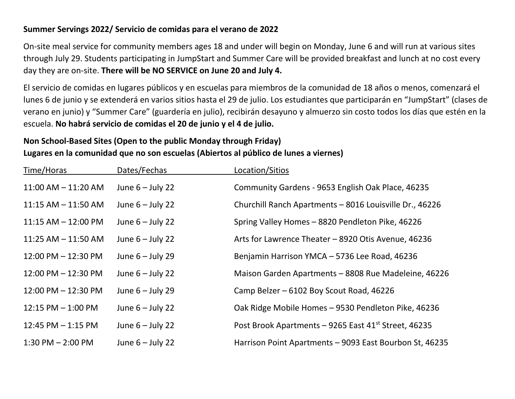## **Summer Servings 2022/ Servicio de comidas para el verano de 2022**

On-site meal service for community members ages 18 and under will begin on Monday, June 6 and will run at various sites through July 29. Students participating in JumpStart and Summer Care will be provided breakfast and lunch at no cost every day they are on-site. **There will be NO SERVICE on June 20 and July 4.**

El servicio de comidas en lugares públicos y en escuelas para miembros de la comunidad de 18 años o menos, comenzará el lunes 6 de junio y se extenderá en varios sitios hasta el 29 de julio. Los estudiantes que participarán en "JumpStart" (clases de verano en junio) y "Summer Care" (guardería en julio), recibirán desayuno y almuerzo sin costo todos los días que estén en la escuela. **No habrá servicio de comidas el 20 de junio y el 4 de julio.**

## **Non School-Based Sites (Open to the public Monday through Friday) Lugares en la comunidad que no son escuelas (Abiertos al público de lunes a viernes)**

| Time/Horas              | Dates/Fechas       | Location/Sitios                                                  |
|-------------------------|--------------------|------------------------------------------------------------------|
| $11:00$ AM $- 11:20$ AM | June $6 -$ July 22 | Community Gardens - 9653 English Oak Place, 46235                |
| $11:15$ AM $- 11:50$ AM | June $6 -$ July 22 | Churchill Ranch Apartments - 8016 Louisville Dr., 46226          |
| $11:15$ AM $- 12:00$ PM | June $6 -$ July 22 | Spring Valley Homes - 8820 Pendleton Pike, 46226                 |
| 11:25 AM - 11:50 AM     | June $6 -$ July 22 | Arts for Lawrence Theater - 8920 Otis Avenue, 46236              |
| 12:00 PM - 12:30 PM     | June $6 -$ July 29 | Benjamin Harrison YMCA - 5736 Lee Road, 46236                    |
| 12:00 PM - 12:30 PM     | June $6 -$ July 22 | Maison Garden Apartments - 8808 Rue Madeleine, 46226             |
| 12:00 PM - 12:30 PM     | June $6 -$ July 29 | Camp Belzer - 6102 Boy Scout Road, 46226                         |
| $12:15$ PM $- 1:00$ PM  | June $6 -$ July 22 | Oak Ridge Mobile Homes - 9530 Pendleton Pike, 46236              |
| $12:45$ PM $- 1:15$ PM  | June $6 -$ July 22 | Post Brook Apartments - 9265 East 41 <sup>st</sup> Street, 46235 |
| $1:30$ PM $- 2:00$ PM   | June $6 -$ July 22 | Harrison Point Apartments - 9093 East Bourbon St, 46235          |